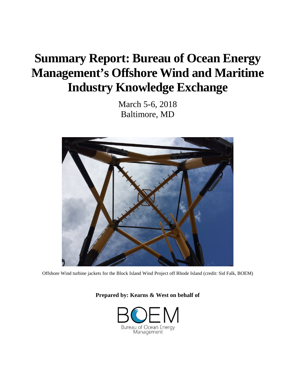# **Summary Report: Bureau of Ocean Energy Management's Offshore Wind and Maritime Industry Knowledge Exchange**

March 5-6, 2018 Baltimore, MD



Offshore Wind turbine jackets for the Block Island Wind Project off Rhode Island (credit: Sid Falk, BOEM)

**Prepared by: Kearns & West on behalf of**

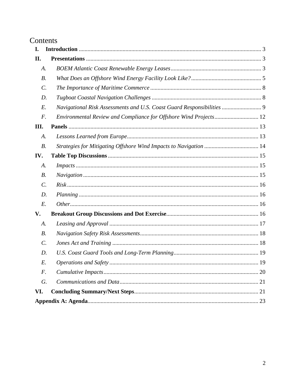## Contents

| I.              |                                                                        |  |  |
|-----------------|------------------------------------------------------------------------|--|--|
| П.              |                                                                        |  |  |
| A.              |                                                                        |  |  |
| <i>B</i> .      |                                                                        |  |  |
| $\mathcal{C}$ . |                                                                        |  |  |
| D.              |                                                                        |  |  |
| E.              | Navigational Risk Assessments and U.S. Coast Guard Responsibilities  9 |  |  |
| F.              | Environmental Review and Compliance for Offshore Wind Projects 12      |  |  |
| Ш.              |                                                                        |  |  |
| A.              |                                                                        |  |  |
| $B$ .           |                                                                        |  |  |
| IV.             |                                                                        |  |  |
| A.              |                                                                        |  |  |
| $B$ .           |                                                                        |  |  |
| $\mathcal{C}$ . |                                                                        |  |  |
| D.              |                                                                        |  |  |
| E.              |                                                                        |  |  |
| V.              |                                                                        |  |  |
| A.              |                                                                        |  |  |
| $B$ .           |                                                                        |  |  |
| $\mathcal{C}$ . |                                                                        |  |  |
| D.              |                                                                        |  |  |
| E.              |                                                                        |  |  |
| F.              | 20                                                                     |  |  |
| G.              |                                                                        |  |  |
| VI.             |                                                                        |  |  |
|                 |                                                                        |  |  |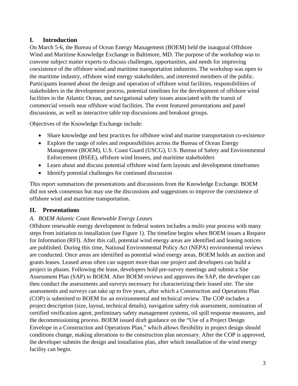## <span id="page-2-0"></span>**I. Introduction**

On March 5-6, the Bureau of Ocean Energy Management (BOEM) held the inaugural Offshore Wind and Maritime Knowledge Exchange in Baltimore, MD. The purpose of the workshop was to convene subject matter experts to discuss challenges, opportunities, and needs for improving coexistence of the offshore wind and maritime transportation industries. The workshop was open to the maritime industry, offshore wind energy stakeholders, and interested members of the public. Participants learned about the design and operation of offshore wind facilities, responsibilities of stakeholders in the development process, potential timelines for the development of offshore wind facilities in the Atlantic Ocean, and navigational safety issues associated with the transit of commercial vessels near offshore wind facilities. The event featured presentations and panel discussions, as well as interactive table top discussions and breakout groups.

Objectives of the Knowledge Exchange include:

- Share knowledge and best practices for offshore wind and marine transportation co-existence
- Explore the range of roles and responsibilities across the Bureau of Ocean Energy Management (BOEM), U.S. Coast Guard (USCG), U.S. Bureau of Safety and Environmental Enforcement (BSEE), offshore wind lessees, and maritime stakeholders
- Learn about and discuss potential offshore wind farm layouts and development timeframes
- Identify potential challenges for continued discussion

This report summarizes the presentations and discussions from the Knowledge Exchange. BOEM did not seek consensus but may use the discussions and suggestions to improve the coexistence of offshore wind and maritime transportation.

## <span id="page-2-1"></span>**II. Presentations**

## <span id="page-2-2"></span>*A. BOEM Atlantic Coast Renewable Energy Leases*

Offshore renewable energy development in federal waters includes a multi-year process with many steps from initiation to installation (see Figure 1). The timeline begins when BOEM issues a Request for Information (RFI). After this call, potential wind energy areas are identified and leasing notices are published. During this time, National Environmental Policy Act (NEPA) environmental reviews are conducted. Once areas are identified as potential wind energy areas, BOEM holds an auction and grants leases. Leased areas often can support more than one project and developers can build a project in phases. Following the lease, developers hold pre-survey meetings and submit a Site Assessment Plan (SAP) to BOEM. After BOEM reviews and approves the SAP, the developer can then conduct the assessments and surveys necessary for characterizing their leased site. The site assessments and surveys can take up to five years, after which a Construction and Operations Plan (COP) is submitted to BOEM for an environmental and technical review. The COP includes a project description (size, layout, technical details), navigation safety risk assessment, nomination of certified verification agent, preliminary safety management systems, oil spill response measures, and the decommissioning process. BOEM issued draft guidance on the "Use of a Project Design Envelope in a Construction and Operations Plan," which allows flexibility in project design should conditions change, making alterations to the construction plan necessary. After the COP is approved, the developer submits the design and installation plan, after which installation of the wind energy facility can begin.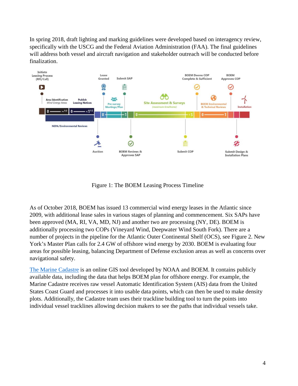In spring 2018, draft lighting and marking guidelines were developed based on interagency review, specifically with the USCG and the Federal Aviation Administration (FAA). The final guidelines will address both vessel and aircraft navigation and stakeholder outreach will be conducted before finalization.



Figure 1: The BOEM Leasing Process Timeline

As of October 2018, BOEM has issued 13 commercial wind energy leases in the Atlantic since 2009, with additional lease sales in various stages of planning and commencement. Six SAPs have been approved (MA, RI, VA, MD, NJ) and another two are processing (NY, DE). BOEM is additionally processing two COPs (Vineyard Wind, Deepwater Wind South Fork). There are a number of projects in the pipeline for the Atlantic Outer Continental Shelf (OCS), see Figure 2. New York's Master Plan calls for 2.4 GW of offshore wind energy by 2030. BOEM is evaluating four areas for possible leasing, balancing Department of Defense exclusion areas as well as concerns over navigational safety.

The [Marine Cadastre](https://marinecadastre.gov/) is an online GIS tool developed by NOAA and BOEM. It contains publicly available data, including the data that helps BOEM plan for offshore energy. For example, the Marine Cadastre receives raw vessel Automatic Identification System (AIS) data from the United States Coast Guard and processes it into usable data points, which can then be used to make density plots. Additionally, the Cadastre team uses their trackline building tool to turn the points into individual vessel tracklines allowing decision makers to see the paths that individual vessels take.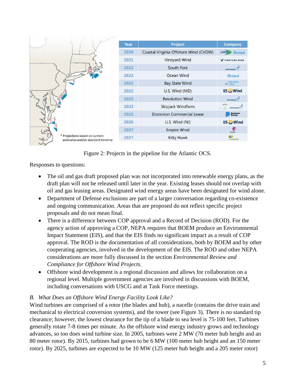

Figure 2: Projects in the pipeline for the Atlantic OCS.

Responses to questions:

- The oil and gas draft proposed plan was not incorporated into renewable energy plans, as the draft plan will not be released until later in the year. Existing leases should not overlap with oil and gas leasing areas. Designated wind energy areas have been designated for wind alone.
- Department of Defense exclusions are part of a larger conversation regarding co-existence and ongoing communication. Areas that are proposed do not reflect specific project proposals and do not mean final.
- There is a difference between COP approval and a Record of Decision (ROD). For the agency action of approving a COP, NEPA requires that BOEM produce an Environmental Impact Statement (EIS), and that the EIS finds no significant impact as a result of COP approval. The ROD is the documentation of all considerations, both by BOEM and by other cooperating agencies, involved in the development of the EIS. The ROD and other NEPA considerations are more fully discussed in the section *Environmental Review and Compliance for Offshore Wind Projects*.
- Offshore wind development is a regional discussion and allows for collaboration on a regional level. Multiple government agencies are involved in discussions with BOEM, including conversations with USCG and at Task Force meetings.

## <span id="page-4-0"></span>*B. What Does an Offshore Wind Energy Facility Look Like?*

Wind turbines are comprised of a rotor (the blades and hub), a nacelle (contains the drive train and mechanical to electrical conversion systems), and the tower (see Figure 3). There is no standard tip clearance; however, the lowest clearance for the tip of a blade to sea level is 75-100 feet. Turbines generally rotate 7-8 times per minute. As the offshore wind energy industry grows and technology advances, so too does wind turbine size. In 2005, turbines were 2 MW (70 meter hub height and an 80 meter rotor). By 2015, turbines had grown to be 6 MW (100 meter hub height and an 150 meter rotor). By 2025, turbines are expected to be 10 MW (125 meter hub height and a 205 meter rotor)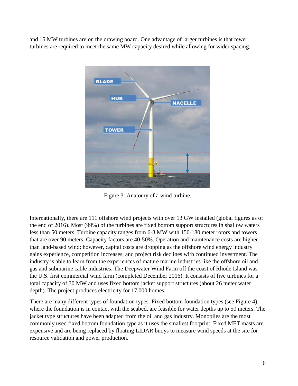and 15 MW turbines are on the drawing board. One advantage of larger turbines is that fewer turbines are required to meet the same MW capacity desired while allowing for wider spacing.



Figure 3: Anatomy of a wind turbine.

Internationally, there are 111 offshore wind projects with over 13 GW installed (global figures as of the end of 2016). Most (99%) of the turbines are fixed bottom support structures in shallow waters less than 50 meters. Turbine capacity ranges from 6-8 MW with 150-180 meter rotors and towers that are over 90 meters. Capacity factors are 40-50%. Operation and maintenance costs are higher than land-based wind; however, capital costs are dropping as the offshore wind energy industry gains experience, competition increases, and project risk declines with continued investment. The industry is able to learn from the experiences of mature marine industries like the offshore oil and gas and submarine cable industries. The Deepwater Wind Farm off the coast of Rhode Island was the U.S. first commercial wind farm (completed December 2016). It consists of five turbines for a total capacity of 30 MW and uses fixed bottom jacket support structures (about 26 meter water depth). The project produces electricity for 17,000 homes.

There are many different types of foundation types. Fixed bottom foundation types (see Figure 4), where the foundation is in contact with the seabed, are feasible for water depths up to 50 meters. The jacket type structures have been adapted from the oil and gas industry. Monopiles are the most commonly used fixed bottom foundation type as it uses the smallest footprint. Fixed MET masts are expensive and are being replaced by floating LIDAR buoys to measure wind speeds at the site for resource validation and power production.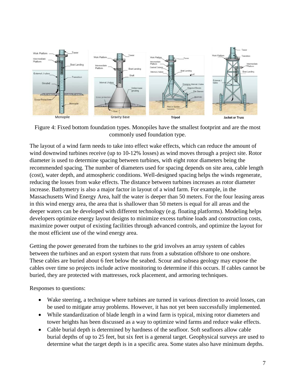

Figure 4: Fixed bottom foundation types. Monopiles have the smallest footprint and are the most commonly used foundation type.

The layout of a wind farm needs to take into effect wake effects, which can reduce the amount of wind downwind turbines receive (up to 10-12% losses) as wind moves through a project site. Rotor diameter is used to determine spacing between turbines, with eight rotor diameters being the recommended spacing. The number of diameters used for spacing depends on site area, cable length (cost), water depth, and atmospheric conditions. Well-designed spacing helps the winds regenerate, reducing the losses from wake effects. The distance between turbines increases as rotor diameter increase. Bathymetry is also a major factor in layout of a wind farm. For example, in the Massachusetts Wind Energy Area, half the water is deeper than 50 meters. For the four leasing areas in this wind energy area, the area that is shallower than 50 meters is equal for all areas and the deeper waters can be developed with different technology (e.g. floating platforms). Modeling helps developers optimize energy layout designs to minimize excess turbine loads and construction costs, maximize power output of existing facilities through advanced controls, and optimize the layout for the most efficient use of the wind energy area.

Getting the power generated from the turbines to the grid involves an array system of cables between the turbines and an export system that runs from a substation offshore to one onshore. These cables are buried about 6 feet below the seabed. Scour and subsea geology may expose the cables over time so projects include active monitoring to determine if this occurs. If cables cannot be buried, they are protected with mattresses, rock placement, and armoring techniques.

Responses to questions:

- Wake steering, a technique where turbines are turned in various direction to avoid losses, can be used to mitigate array problems. However, it has not yet been successfully implemented.
- While standardization of blade length in a wind farm is typical, mixing rotor diameters and tower heights has been discussed as a way to optimize wind farms and reduce wake effects.
- Cable burial depth is determined by hardness of the seafloor. Soft seafloors allow cable burial depths of up to 25 feet, but six feet is a general target. Geophysical surveys are used to determine what the target depth is in a specific area. Some states also have minimum depths.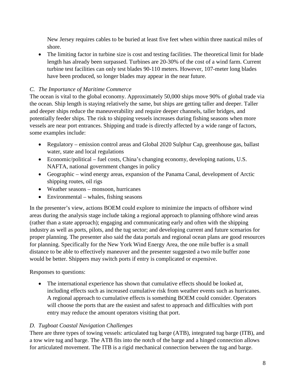New Jersey requires cables to be buried at least five feet when within three nautical miles of shore.

• The limiting factor in turbine size is cost and testing facilities. The theoretical limit for blade length has already been surpassed. Turbines are 20-30% of the cost of a wind farm. Current turbine test facilities can only test blades 90-110 meters. However, 107-meter long blades have been produced, so longer blades may appear in the near future.

## <span id="page-7-0"></span>*C. The Importance of Maritime Commerce*

The ocean is vital to the global economy. Approximately 50,000 ships move 90% of global trade via the ocean. Ship length is staying relatively the same, but ships are getting taller and deeper. Taller and deeper ships reduce the maneuverability and require deeper channels, taller bridges, and potentially feeder ships. The risk to shipping vessels increases during fishing seasons when more vessels are near port entrances. Shipping and trade is directly affected by a wide range of factors, some examples include:

- Regulatory emission control areas and Global 2020 Sulphur Cap, greenhouse gas, ballast water, state and local regulations
- Economic/political fuel costs, China's changing economy, developing nations, U.S. NAFTA, national government changes in policy
- Geographic wind energy areas, expansion of the Panama Canal, development of Arctic shipping routes, oil rigs
- Weather seasons monsoon, hurricanes
- Environmental whales, fishing seasons

In the presenter's view, actions BOEM could explore to minimize the impacts of offshore wind areas during the analysis stage include taking a regional approach to planning offshore wind areas (rather than a state approach); engaging and communicating early and often with the shipping industry as well as ports, pilots, and the tug sector; and developing current and future scenarios for proper planning. The presenter also said the data portals and regional ocean plans are good resources for planning. Specifically for the New York Wind Energy Area, the one mile buffer is a small distance to be able to effectively maneuver and the presenter suggested a two mile buffer zone would be better. Shippers may switch ports if entry is complicated or expensive.

Responses to questions:

• The international experience has shown that cumulative effects should be looked at, including effects such as increased cumulative risk from weather events such as hurricanes. A regional approach to cumulative effects is something BOEM could consider. Operators will choose the ports that are the easiest and safest to approach and difficulties with port entry may reduce the amount operators visiting that port.

## <span id="page-7-1"></span>*D. Tugboat Coastal Navigation Challenges*

There are three types of towing vessels: articulated tug barge (ATB), integrated tug barge (ITB), and a tow wire tug and barge. The ATB fits into the notch of the barge and a hinged connection allows for articulated movement. The ITB is a rigid mechanical connection between the tug and barge.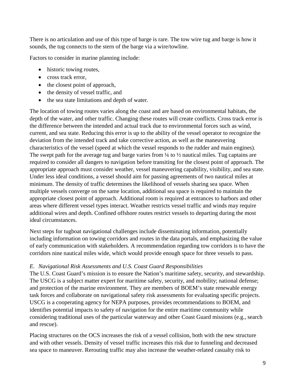There is no articulation and use of this type of barge is rare. The tow wire tug and barge is how it sounds, the tug connects to the stern of the barge via a wire/towline.

Factors to consider in marine planning include:

- historic towing routes,
- cross track error,
- the closest point of approach,
- the density of vessel traffic, and
- the sea state limitations and depth of water.

The location of towing routes varies along the coast and are based on environmental habitats, the depth of the water, and other traffic. Changing these routes will create conflicts. Cross track error is the difference between the intended and actual track due to environmental forces such as wind, current, and sea state. Reducing this error is up to the ability of the vessel operator to recognize the deviation from the intended track and take corrective action, as well as the maneuvering characteristics of the vessel (speed at which the vessel responds to the rudder and main engines). The swept path for the average tug and barge varies from  $\frac{1}{4}$  to  $\frac{1}{2}$  nautical miles. Tug captains are required to consider all dangers to navigation before transiting for the closest point of approach. The appropriate approach must consider weather, vessel maneuvering capability, visibility, and sea state. Under less ideal conditions, a vessel should aim for passing agreements of two nautical miles at minimum. The density of traffic determines the likelihood of vessels sharing sea space. When multiple vessels converge on the same location, additional sea space is required to maintain the appropriate closest point of approach. Additional room is required at entrances to harbors and other areas where different vessel types interact. Weather restricts vessel traffic and winds may require additional wires and depth. Confined offshore routes restrict vessels to departing during the most ideal circumstances.

Next steps for tugboat navigational challenges include disseminating information, potentially including information on towing corridors and routes in the data portals, and emphasizing the value of early communication with stakeholders. A recommendation regarding tow corridors is to have the corridors nine nautical miles wide, which would provide enough space for three vessels to pass.

## <span id="page-8-0"></span>*E. Navigational Risk Assessments and U.S. Coast Guard Responsibilities*

The U.S. Coast Guard's mission is to ensure the Nation's maritime safety, security, and stewardship. The USCG is a subject matter expert for maritime safety, security, and mobility; national defense; and protection of the marine environment. They are members of BOEM's state renewable energy task forces and collaborate on navigational safety risk assessments for evaluating specific projects. USCG is a cooperating agency for NEPA purposes, provides recommendations to BOEM, and identifies potential impacts to safety of navigation for the entire maritime community while considering traditional uses of the particular waterway and other Coast Guard missions (e.g., search and rescue).

Placing structures on the OCS increases the risk of a vessel collision, both with the new structure and with other vessels. Density of vessel traffic increases this risk due to funneling and decreased sea space to maneuver. Rerouting traffic may also increase the weather-related casualty risk to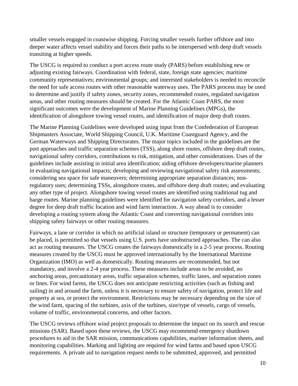smaller vessels engaged in coastwise shipping. Forcing smaller vessels further offshore and into deeper water affects vessel stability and forces their paths to be interspersed with deep draft vessels transiting at higher speeds.

The USCG is required to conduct a port access route study (PARS) before establishing new or adjusting existing fairways. Coordination with federal, state, foreign state agencies; maritime community representatives; environmental groups; and interested stakeholders is needed to reconcile the need for safe access routes with other reasonable waterway uses. The PARS process may be used to determine and justify if safety zones, security zones, recommended routes, regulated navigation areas, and other routing measures should be created. For the Atlantic Coast PARS, the most significant outcomes were the development of Marine Planning Guidelines (MPGs), the identification of alongshore towing vessel routes, and identification of major deep draft routes.

The Marine Planning Guidelines were developed using input from the Confederation of European Shipmasters Associate, World Shipping Council, U.K. Maritime Coastguard Agency, and the German Waterways and Shipping Directorates. The major topics included in the guidelines are the port approaches and traffic separation schemes (TSS), along shore routes, offshore deep draft routes, navigational safety corridors, contributions to risk, mitigation, and other considerations. Uses of the guidelines include assisting in initial area identification; aiding offshore developers/marine planners in evaluating navigational impacts; developing and reviewing navigational safety risk assessments; considering sea space for safe maneuvers; determining appropriate separation distances; nonregulatory uses; determining TSSs, alongshore routes, and offshore deep draft routes; and evaluating any other type of project. Alongshore towing vessel routes are identified using traditional tug and barge routes. Marine planning guidelines were identified for navigation safety corridors, and a lesser degree for deep draft traffic location and wind farm interaction. A way ahead is to consider developing a routing system along the Atlantic Coast and converting navigational corridors into shipping safety fairways or other routing measures.

Fairways, a lane or corridor in which no artificial island or structure (temporary or permanent) can be placed, is permitted so that vessels using U.S. ports have unobstructed approaches. The can also act as routing measures. The USCG creates the fairways domestically in a 2-5 year process. Routing measures created by the USCG must be approved internationally by the International Maritime Organization (IMO) as well as domestically. Routing measures are recommended, but not mandatory, and involve a 2-4 year process. These measures include areas to be avoided, no anchoring areas, precautionary areas, traffic separation schemes, traffic lanes, and separation zones or lines. For wind farms, the USCG does not anticipate restricting activities (such as fishing and sailing) in and around the farm, unless it is necessary to ensure safety of navigation, protect life and property at sea, or protect the environment. Restrictions may be necessary depending on the size of the wind farm, spacing of the turbines, axis of the turbines, size/type of vessels, cargo of vessels, volume of traffic, environmental concerns, and other factors.

The USCG reviews offshore wind project proposals to determine the impact on its search and rescue missions (SAR). Based upon these reviews, the USCG may recommend emergency shutdown procedures to aid in the SAR mission, communications capabilities, mariner information sheets, and monitoring capabilities. Marking and lighting are required for wind farms and based upon USCG requirements. A private aid to navigation request needs to be submitted, approved, and permitted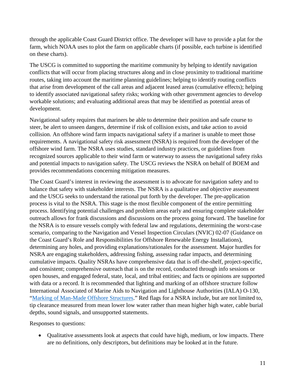through the applicable Coast Guard District office. The developer will have to provide a plat for the farm, which NOAA uses to plot the farm on applicable charts (if possible, each turbine is identified on these charts).

The USCG is committed to supporting the maritime community by helping to identify navigation conflicts that will occur from placing structures along and in close proximity to traditional maritime routes, taking into account the maritime planning guidelines; helping to identify routing conflicts that arise from development of the call areas and adjacent leased areas (cumulative effects); helping to identify associated navigational safety risks; working with other government agencies to develop workable solutions; and evaluating additional areas that may be identified as potential areas of development.

Navigational safety requires that mariners be able to determine their position and safe course to steer, be alert to unseen dangers, determine if risk of collision exists, and take action to avoid collision. An offshore wind farm impacts navigational safety if a mariner is unable to meet those requirements. A navigational safety risk assessment (NSRA) is required from the developer of the offshore wind farm. The NSRA uses studies, standard industry practices, or guidelines from recognized sources applicable to their wind farm or waterway to assess the navigational safety risks and potential impacts to navigation safety. The USCG reviews the NSRA on behalf of BOEM and provides recommendations concerning mitigation measures.

The Coast Guard's interest in reviewing the assessment is to advocate for navigation safety and to balance that safety with stakeholder interests. The NSRA is a qualitative and objective assessment and the USCG seeks to understand the rational put forth by the developer. The pre-application process is vital to the NSRA. This stage is the most flexible component of the entire permitting process. Identifying potential challenges and problem areas early and ensuring complete stakeholder outreach allows for frank discussions and discussions on the process going forward. The baseline for the NSRA is to ensure vessels comply with federal law and regulations, determining the worst-case scenario, comparing to the Navigation and Vessel Inspection Circulars (NVIC) 02-07 (Guidance on the Coast Guard's Role and Responsibilities for Offshore Renewable Energy Installations), determining any holes, and providing explanations/rationales for the assessment. Major hurdles for NSRA are engaging stakeholders, addressing fishing, assessing radar impacts, and determining cumulative impacts. Quality NSRAs have comprehensive data that is off-the-shelf, project-specific, and consistent; comprehensive outreach that is on the record, conducted through info sessions or open houses, and engaged federal, state, local, and tribal entities; and facts or opinions are supported with data or a record. It is recommended that lighting and marking of an offshore structure follow International Associated of Marine Aids to Navigation and Lighthouse Authorities (IALA) O-130, ["Marking of Man-Made Offshore Structures.](http://www.iala-aism.org/product/marking-of-man-made-offshore-structures-o-139/)" Red flags for a NSRA include, but are not limited to, tip clearance measured from mean lower low water rather than mean higher high water, cable burial depths, sound signals, and unsupported statements.

Responses to questions:

• Qualitative assessments look at aspects that could have high, medium, or low impacts. There are no definitions, only descriptors, but definitions may be looked at in the future.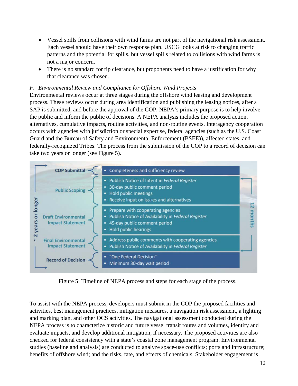- Vessel spills from collisions with wind farms are not part of the navigational risk assessment. Each vessel should have their own response plan. USCG looks at risk to changing traffic patterns and the potential for spills, but vessel spills related to collisions with wind farms is not a major concern.
- There is no standard for tip clearance, but proponents need to have a justification for why that clearance was chosen.

## <span id="page-11-0"></span>*F. Environmental Review and Compliance for Offshore Wind Projects*

Environmental reviews occur at three stages during the offshore wind leasing and development process. These reviews occur during area identification and publishing the leasing notices, after a SAP is submitted, and before the approval of the COP. NEPA's primary purpose is to help involve the public and inform the public of decisions. A NEPA analysis includes the proposed action, alternatives, cumulative impacts, routine activities, and non-routine events. Interagency cooperation occurs with agencies with jurisdiction or special expertise, federal agencies (such as the U.S. Coast Guard and the Bureau of Safety and Environmental Enforcement (BSEE)), affected states, and federally-recognized Tribes. The process from the submission of the COP to a record of decision can take two years or longer (see Figure 5).



Figure 5: Timeline of NEPA process and steps for each stage of the process.

To assist with the NEPA process, developers must submit in the COP the proposed facilities and activities, best management practices, mitigation measures, a navigation risk assessment, a lighting and marking plan, and other OCS activities. The navigational assessment conducted during the NEPA process is to characterize historic and future vessel transit routes and volumes, identify and evaluate impacts, and develop additional mitigation, if necessary. The proposed activities are also checked for federal consistency with a state's coastal zone management program. Environmental studies (baseline and analysis) are conducted to analyze space-use conflicts; ports and infrastructure; benefits of offshore wind; and the risks, fate, and effects of chemicals. Stakeholder engagement is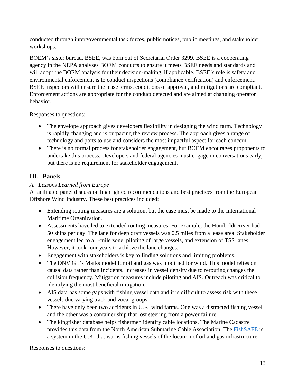conducted through intergovernmental task forces, public notices, public meetings, and stakeholder workshops.

BOEM's sister bureau, BSEE, was born out of Secretarial Order 3299. BSEE is a cooperating agency in the NEPA analyses BOEM conducts to ensure it meets BSEE needs and standards and will adopt the BOEM analysis for their decision-making, if applicable. BSEE's role is safety and environmental enforcement is to conduct inspections (compliance verification) and enforcement. BSEE inspectors will ensure the lease terms, conditions of approval, and mitigations are compliant. Enforcement actions are appropriate for the conduct detected and are aimed at changing operator behavior.

Responses to questions:

- The envelope approach gives developers flexibility in designing the wind farm. Technology is rapidly changing and is outpacing the review process. The approach gives a range of technology and ports to use and considers the most impactful aspect for each concern.
- There is no formal process for stakeholder engagement, but BOEM encourages proponents to undertake this process. Developers and federal agencies must engage in conversations early, but there is no requirement for stakeholder engagement.

## <span id="page-12-0"></span>**III. Panels**

## <span id="page-12-1"></span>*A. Lessons Learned from Europe*

A facilitated panel discussion highlighted recommendations and best practices from the European Offshore Wind Industry. These best practices included:

- Extending routing measures are a solution, but the case must be made to the International Maritime Organization.
- Assessments have led to extended routing measures. For example, the Humboldt River had 50 ships per day. The lane for deep draft vessels was 0.5 miles from a lease area. Stakeholder engagement led to a 1-mile zone, piloting of large vessels, and extension of TSS lanes. However, it took four years to achieve the lane changes.
- Engagement with stakeholders is key to finding solutions and limiting problems.
- The DNV GL's Marks model for oil and gas was modified for wind. This model relies on causal data rather than incidents. Increases in vessel density due to rerouting changes the collision frequency. Mitigation measures include piloting and AIS. Outreach was critical to identifying the most beneficial mitigation.
- AIS data has some gaps with fishing vessel data and it is difficult to assess risk with these vessels due varying track and vocal groups.
- There have only been two accidents in U.K. wind farms. One was a distracted fishing vessel and the other was a container ship that lost steering from a power failure.
- The kingfisher database helps fishermen identify cable locations. The Marine Cadastre provides this data from the North American Submarine Cable Association. The [FishSAFE](http://www.fishsafe.eu/en/home.aspx) is a system in the U.K. that warns fishing vessels of the location of oil and gas infrastructure.

Responses to questions: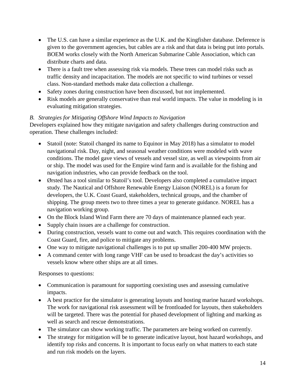- The U.S. can have a similar experience as the U.K. and the Kingfisher database. Deference is given to the government agencies, but cables are a risk and that data is being put into portals. BOEM works closely with the North American Submarine Cable Association, which can distribute charts and data.
- There is a fault tree when assessing risk via models. These trees can model risks such as traffic density and incapacitation. The models are not specific to wind turbines or vessel class. Non-standard methods make data collection a challenge.
- Safety zones during construction have been discussed, but not implemented.
- Risk models are generally conservative than real world impacts. The value in modeling is in evaluating mitigation strategies.

## <span id="page-13-0"></span>*B. Strategies for Mitigating Offshore Wind Impacts to Navigation*

Developers explained how they mitigate navigation and safety challenges during construction and operation. These challenges included:

- Statoil (note: Statoil changed its name to Equinor in May 2018) has a simulator to model navigational risk. Day, night, and seasonal weather conditions were modeled with wave conditions. The model gave views of vessels and vessel size, as well as viewpoints from air or ship. The model was used for the Empire wind farm and is available for the fishing and navigation industries, who can provide feedback on the tool.
- Ørsted has a tool similar to Statoil's tool. Developers also completed a cumulative impact study. The Nautical and Offshore Renewable Energy Liaison (NOREL) is a forum for developers, the U.K. Coast Guard, stakeholders, technical groups, and the chamber of shipping. The group meets two to three times a year to generate guidance. NOREL has a navigation working group.
- On the Block Island Wind Farm there are 70 days of maintenance planned each year.
- Supply chain issues are a challenge for construction.
- During construction, vessels want to come out and watch. This requires coordination with the Coast Guard, fire, and police to mitigate any problems.
- One way to mitigate navigational challenges is to put up smaller 200-400 MW projects.
- A command center with long range VHF can be used to broadcast the day's activities so vessels know where other ships are at all times.

Responses to questions:

- Communication is paramount for supporting coexisting uses and assessing cumulative impacts.
- A best practice for the simulator is generating layouts and hosting marine hazard workshops. The work for navigational risk assessment will be frontloaded for layouts, then stakeholders will be targeted. There was the potential for phased development of lighting and marking as well as search and rescue demonstrations.
- The simulator can show working traffic. The parameters are being worked on currently.
- The strategy for mitigation will be to generate indicative layout, host hazard workshops, and identify top risks and concerns. It is important to focus early on what matters to each state and run risk models on the layers.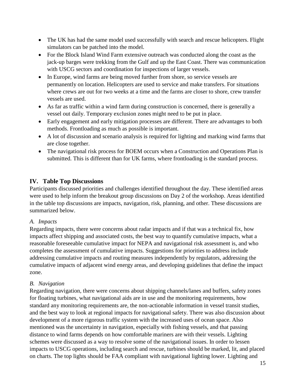- The UK has had the same model used successfully with search and rescue helicopters. Flight simulators can be patched into the model.
- For the Block Island Wind Farm extensive outreach was conducted along the coast as the jack-up barges were trekking from the Gulf and up the East Coast. There was communication with USCG sectors and coordination for inspections of larger vessels.
- In Europe, wind farms are being moved further from shore, so service vessels are permanently on location. Helicopters are used to service and make transfers. For situations where crews are out for two weeks at a time and the farms are closer to shore, crew transfer vessels are used.
- As far as traffic within a wind farm during construction is concerned, there is generally a vessel out daily. Temporary exclusion zones might need to be put in place.
- Early engagement and early mitigation processes are different. There are advantages to both methods. Frontloading as much as possible is important.
- A lot of discussion and scenario analysis is required for lighting and marking wind farms that are close together.
- The navigational risk process for BOEM occurs when a Construction and Operations Plan is submitted. This is different than for UK farms, where frontloading is the standard process.

## <span id="page-14-0"></span>**IV. Table Top Discussions**

Participants discussed priorities and challenges identified throughout the day. These identified areas were used to help inform the breakout group discussions on Day 2 of the workshop. Areas identified in the table top discussions are impacts, navigation, risk, planning, and other. These discussions are summarized below.

## <span id="page-14-1"></span>*A. Impacts*

Regarding impacts, there were concerns about radar impacts and if that was a technical fix, how impacts affect shipping and associated costs, the best way to quantify cumulative impacts, what a reasonable foreseeable cumulative impact for NEPA and navigational risk assessment is, and who completes the assessment of cumulative impacts. Suggestions for priorities to address include addressing cumulative impacts and routing measures independently by regulators, addressing the cumulative impacts of adjacent wind energy areas, and developing guidelines that define the impact zone.

## <span id="page-14-2"></span>*B. Navigation*

Regarding navigation, there were concerns about shipping channels/lanes and buffers, safety zones for floating turbines, what navigational aids are in use and the monitoring requirements, how standard any monitoring requirements are, the non-actionable information in vessel transit studies, and the best way to look at regional impacts for navigational safety. There was also discussion about development of a more rigorous traffic system with the increased uses of ocean space. Also mentioned was the uncertainty in navigation, especially with fishing vessels, and that passing distance to wind farms depends on how comfortable mariners are with their vessels. Lighting schemes were discussed as a way to resolve some of the navigational issues. In order to lessen impacts to USCG operations, including search and rescue, turbines should be marked, lit, and placed on charts. The top lights should be FAA compliant with navigational lighting lower. Lighting and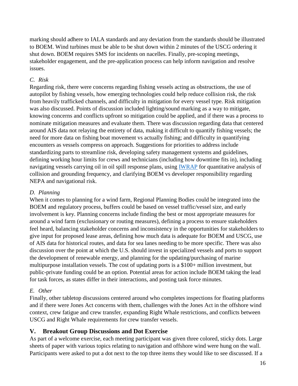marking should adhere to IALA standards and any deviation from the standards should be illustrated to BOEM. Wind turbines must be able to be shut down within 2 minutes of the USCG ordering it shut down. BOEM requires SMS for incidents on nacelles. Finally, pre-scoping meetings, stakeholder engagement, and the pre-application process can help inform navigation and resolve issues.

#### <span id="page-15-0"></span>*C. Risk*

Regarding risk, there were concerns regarding fishing vessels acting as obstructions, the use of autopilot by fishing vessels, how emerging technologies could help reduce collision risk, the risk from heavily trafficked channels, and difficulty in mitigation for every vessel type. Risk mitigation was also discussed. Points of discussion included lighting/sound marking as a way to mitigate, knowing concerns and conflicts upfront so mitigation could be applied, and if there was a process to nominate mitigation measures and evaluate them. There was discussion regarding data that centered around AIS data not relaying the entirety of data, making it difficult to quantify fishing vessels; the need for more data on fishing boat movement vs actually fishing; and difficulty in quantifying encounters as vessels compress on approach. Suggestions for priorities to address include standardizing parts to streamline risk, developing safety management systems and guidelines, defining working hour limits for crews and technicians (including how downtime fits in), including navigating vessels carrying oil in oil spill response plans, using [IWRAP](http://www.iala-aism.org/wiki/iwrap/index.php/Introduction_to_IWRAP) for quantitative analysis of collision and grounding frequency, and clarifying BOEM vs developer responsibility regarding NEPA and navigational risk.

#### <span id="page-15-1"></span>*D. Planning*

When it comes to planning for a wind farm, Regional Planning Bodies could be integrated into the BOEM and regulatory process, buffers could be based on vessel traffic/vessel size, and early involvement is key. Planning concerns include finding the best or most appropriate measures for around a wind farm (exclusionary or routing measures), defining a process to ensure stakeholders feel heard, balancing stakeholder concerns and inconsistency in the opportunities for stakeholders to give input for proposed lease areas, defining how much data is adequate for BOEM and USCG, use of AIS data for historical routes, and data for sea lanes needing to be more specific. There was also discussion over the point at which the U.S. should invest in specialized vessels and ports to support the development of renewable energy, and planning for the updating/purchasing of marine multipurpose installation vessels. The cost of updating ports is a \$100+ million investment, but public-private funding could be an option. Potential areas for action include BOEM taking the lead for task forces, as states differ in their interactions, and posting task force minutes.

## <span id="page-15-2"></span>*E. Other*

Finally, other tabletop discussions centered around who completes inspections for floating platforms and if there were Jones Act concerns with them, challenges with the Jones Act in the offshore wind context, crew fatigue and crew transfer, expanding Right Whale restrictions, and conflicts between USCG and Right Whale requirements for crew transfer vessels.

## <span id="page-15-3"></span>**V. Breakout Group Discussions and Dot Exercise**

As part of a welcome exercise, each meeting participant was given three colored, sticky dots. Large sheets of paper with various topics relating to navigation and offshore wind were hung on the wall. Participants were asked to put a dot next to the top three items they would like to see discussed. If a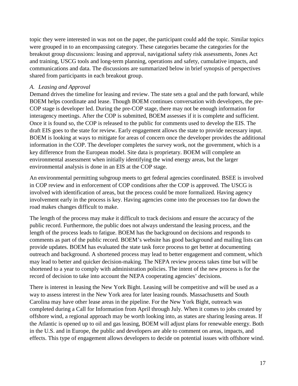topic they were interested in was not on the paper, the participant could add the topic. Similar topics were grouped in to an encompassing category. These categories became the categories for the breakout group discussions: leasing and approval, navigational safety risk assessments, Jones Act and training, USCG tools and long-term planning, operations and safety, cumulative impacts, and communications and data. The discussions are summarized below in brief synopsis of perspectives shared from participants in each breakout group.

#### <span id="page-16-0"></span>*A. Leasing and Approval*

Demand drives the timeline for leasing and review. The state sets a goal and the path forward, while BOEM helps coordinate and lease. Though BOEM continues conversation with developers, the pre-COP stage is developer led. During the pre-COP stage, there may not be enough information for interagency meetings. After the COP is submitted, BOEM assesses if it is complete and sufficient. Once it is found so, the COP is released to the public for comments used to develop the EIS. The draft EIS goes to the state for review. Early engagement allows the state to provide necessary input. BOEM is looking at ways to mitigate for areas of concern once the developer provides the additional information in the COP. The developer completes the survey work, not the government, which is a key difference from the European model. Site data is proprietary. BOEM will complete an environmental assessment when initially identifying the wind energy areas, but the larger environmental analysis is done in an EIS at the COP stage.

An environmental permitting subgroup meets to get federal agencies coordinated. BSEE is involved in COP review and in enforcement of COP conditions after the COP is approved. The USCG is involved with identification of areas, but the process could be more formalized. Having agency involvement early in the process is key. Having agencies come into the processes too far down the road makes changes difficult to make.

The length of the process may make it difficult to track decisions and ensure the accuracy of the public record. Furthermore, the public does not always understand the leasing process, and the length of the process leads to fatigue. BOEM has the background on decisions and responds to comments as part of the public record. BOEM's website has good background and mailing lists can provide updates. BOEM has evaluated the state task force process to get better at documenting outreach and background. A shortened process may lead to better engagement and comment, which may lead to better and quicker decision-making. The NEPA review process takes time but will be shortened to a year to comply with administration policies. The intent of the new process is for the record of decision to take into account the NEPA cooperating agencies' decisions.

There is interest in leasing the New York Bight. Leasing will be competitive and will be used as a way to assess interest in the New York area for later leasing rounds. Massachusetts and South Carolina may have other lease areas in the pipeline. For the New York Bight, outreach was completed during a Call for Information from April through July. When it comes to jobs created by offshore wind, a regional approach may be worth looking into, as states are sharing leasing areas. If the Atlantic is opened up to oil and gas leasing, BOEM will adjust plans for renewable energy. Both in the U.S. and in Europe, the public and developers are able to comment on areas, impacts, and effects. This type of engagement allows developers to decide on potential issues with offshore wind.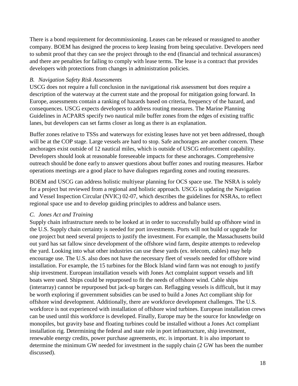There is a bond requirement for decommissioning. Leases can be released or reassigned to another company. BOEM has designed the process to keep leasing from being speculative. Developers need to submit proof that they can see the project through to the end (financial and technical assurances) and there are penalties for failing to comply with lease terms. The lease is a contract that provides developers with protections from changes in administration policies.

## <span id="page-17-0"></span>*B. Navigation Safety Risk Assessments*

USCG does not require a full conclusion in the navigational risk assessment but does require a description of the waterway at the current state and the proposal for mitigation going forward. In Europe, assessments contain a ranking of hazards based on criteria, frequency of the hazard, and consequences. USCG expects developers to address routing measures. The Marine Planning Guidelines in ACPARS specify two nautical mile buffer zones from the edges of existing traffic lanes, but developers can set farms closer as long as there is an explanation.

Buffer zones relative to TSSs and waterways for existing leases have not yet been addressed, though will be at the COP stage. Large vessels are hard to stop. Safe anchorages are another concern. These anchorages exist outside of 12 nautical miles, which is outside of USCG enforcement capability. Developers should look at reasonable foreseeable impacts for these anchorages. Comprehensive outreach should be done early to answer questions about buffer zones and routing measures. Harbor operations meetings are a good place to have dialogues regarding zones and routing measures.

BOEM and USCG can address holistic multiyear planning for OCS space use. The NSRA is solely for a project but reviewed from a regional and holistic approach. USCG is updating the Navigation and Vessel Inspection Circular (NVIC) 02-07, which describes the guidelines for NSRAs, to reflect regional space use and to develop guiding principles to address and balance users.

## <span id="page-17-1"></span>*C. Jones Act and Training*

Supply chain infrastructure needs to be looked at in order to successfully build up offshore wind in the U.S. Supply chain certainty is needed for port investments. Ports will not build or upgrade for one project but need several projects to justify the investment. For example, the Massachusetts build out yard has sat fallow since development of the offshore wind farm, despite attempts to redevelop the yard. Looking into what other industries can use these yards (ex. telecom, cables) may help encourage use. The U.S. also does not have the necessary fleet of vessels needed for offshore wind installation. For example, the 15 turbines for the Block Island wind farm was not enough to justify ship investment. European installation vessels with Jones Act complaint support vessels and lift boats were used. Ships could be repurposed to fit the needs of offshore wind. Cable ships (interarray) cannot be repurposed but jack-up barges can. Reflagging vessels is difficult, but it may be worth exploring if government subsidies can be used to build a Jones Act compliant ship for offshore wind development. Additionally, there are workforce development challenges. The U.S. workforce is not experienced with installation of offshore wind turbines. European installation crews can be used until this workforce is developed. Finally, Europe may be the source for knowledge on monopiles, but gravity base and floating turbines could be installed without a Jones Act compliant installation rig. Determining the federal and state role in port infrastructure, ship investment, renewable energy credits, power purchase agreements, etc. is important. It is also important to determine the minimum GW needed for investment in the supply chain (2 GW has been the number discussed).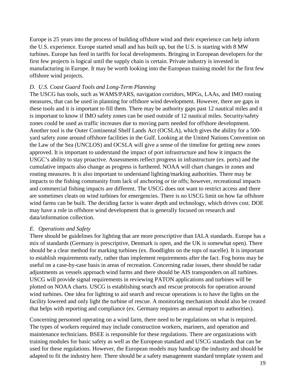Europe is 25 years into the process of building offshore wind and their experience can help inform the U.S. experience. Europe started small and has built up, but the U.S. is starting with 8 MW turbines. Europe has feed in tariffs for local developments. Bringing in European developers for the first few projects is logical until the supply chain is certain. Private industry is invested in manufacturing in Europe. It may be worth looking into the European training model for the first few offshore wind projects.

#### <span id="page-18-0"></span>*D. U.S. Coast Guard Tools and Long-Term Planning*

The USCG has tools, such as WAMS/PARS, navigation corridors, MPGs, LAAs, and IMO routing measures, that can be used in planning for offshore wind development. However, there are gaps in these tools and it is important to fill them. There may be authority gaps past 12 nautical miles and it is important to know if IMO safety zones can be used outside of 12 nautical miles. Security/safety zones could be used as traffic increases due to moving parts needed for offshore development. Another tool is the Outer Continental Shelf Lands Act (OCSLA), which gives the ability for a 500 yard safety zone around offshore facilities in the Gulf. Looking at the United Nations Convention on the Law of the Sea (UNCLOS) and OCSLA will give a sense of the timeline for getting new zones approved. It is important to understand the impact of port infrastructure and how it impacts the USGC's ability to stay proactive. Assessments reflect progress in infrastructure (ex. ports) and the cumulative impacts also change as progress is furthered. NOAA will chart changes in zones and routing measures. It is also important to understand lighting/marking authorities. There may be impacts to the fishing community from lack of anchoring or tie offs; however, recreational impacts and commercial fishing impacts are different. The USCG does not want to restrict access and there are sometimes cleats on wind turbines for emergencies. There is no USCG limit on how far offshore wind farms can be built. The deciding factor is water depth and technology, which drives cost. DOE may have a role in offshore wind development that is generally focused on research and data/information collection.

#### <span id="page-18-1"></span>*E. Operations and Safety*

There should be guidelines for lighting that are more prescriptive than IALA standards. Europe has a mix of standards (Germany is prescriptive, Denmark is open, and the UK is somewhat open). There should be a clear method for marking turbines (ex. floodlights on the tops of nacelle). It is important to establish requirements early, rather than implement requirements after the fact. Fog horns may be useful on a case-by-case basis in areas of recreation. Concerning radar issues, there should be radar adjustments as vessels approach wind farms and there should be AIS transponders on all turbines. USCG will provide signal requirements in reviewing PATON applications and turbines will be plotted on NOAA charts. USCG is establishing search and rescue protocols for operation around wind turbines. One idea for lighting to aid search and rescue operations is to have the lights on the facility lowered and only light the turbine of rescue. A monitoring mechanism should also be created that helps with reporting and compliance (ex. Germany requires an annual report to authorities).

Concerning personnel operating on a wind farm, there need to be regulations on what is required. The types of workers required may include construction workers, mariners, and operation and maintenance technicians. BSEE is responsible for these regulations. There are organizations with training modules for basic safety as well as the European standard and USCG standards that can be used for these regulations. However, the European models may handicap the industry and should be adapted to fit the industry here. There should be a safety management standard template system and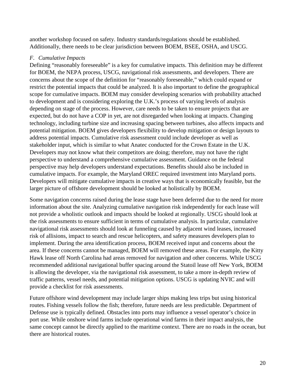another workshop focused on safety. Industry standards/regulations should be established. Additionally, there needs to be clear jurisdiction between BOEM, BSEE, OSHA, and USCG.

#### <span id="page-19-0"></span>*F. Cumulative Impacts*

Defining "reasonably foreseeable" is a key for cumulative impacts. This definition may be different for BOEM, the NEPA process, USCG, navigational risk assessments, and developers. There are concerns about the scope of the definition for "reasonably foreseeable," which could expand or restrict the potential impacts that could be analyzed. It is also important to define the geographical scope for cumulative impacts. BOEM may consider developing scenarios with probability attached to development and is considering exploring the U.K.'s process of varying levels of analysis depending on stage of the process. However, care needs to be taken to ensure projects that are expected, but do not have a COP in yet, are not disregarded when looking at impacts. Changing technology, including turbine size and increasing spacing between turbines, also affects impacts and potential mitigation. BOEM gives developers flexibility to develop mitigation or design layouts to address potential impacts. Cumulative risk assessment could include developer as well as stakeholder input, which is similar to what Anatec conducted for the Crown Estate in the U.K. Developers may not know what their competitors are doing; therefore, may not have the right perspective to understand a comprehensive cumulative assessment. Guidance on the federal perspective may help developers understand expectations. Benefits should also be included in cumulative impacts. For example, the Maryland OREC required investment into Maryland ports. Developers will mitigate cumulative impacts in creative ways that is economically feasible, but the larger picture of offshore development should be looked at holistically by BOEM.

Some navigation concerns raised during the lease stage have been deferred due to the need for more information about the site. Analyzing cumulative navigation risk independently for each lease will not provide a wholistic outlook and impacts should be looked at regionally. USCG should look at the risk assessments to ensure sufficient in terms of cumulative analysis. In particular, cumulative navigational risk assessments should look at funneling caused by adjacent wind leases, increased risk of allisions, impact to search and rescue helicopters, and safety measures developers plan to implement. During the area identification process, BOEM received input and concerns about the area. If these concerns cannot be managed, BOEM will removed these areas. For example, the Kitty Hawk lease off North Carolina had areas removed for navigation and other concerns. While USCG recommended additional navigational buffer spacing around the Statoil lease off New York, BOEM is allowing the developer, via the navigational risk assessment, to take a more in-depth review of traffic patterns, vessel needs, and potential mitigation options. USCG is updating NVIC and will provide a checklist for risk assessments.

Future offshore wind development may include larger ships making less trips but using historical routes. Fishing vessels follow the fish; therefore, future needs are less predictable. Department of Defense use is typically defined. Obstacles into ports may influence a vessel operator's choice in port use. While onshore wind farms include operational wind farms in their impact analysis, the same concept cannot be directly applied to the maritime context. There are no roads in the ocean, but there are historical routes.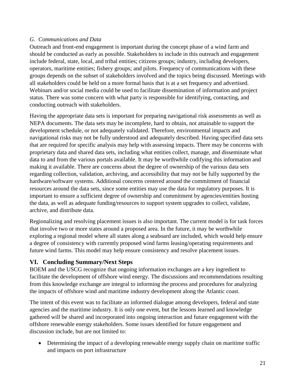## <span id="page-20-0"></span>*G. Communications and Data*

Outreach and front-end engagement is important during the concept phase of a wind farm and should be conducted as early as possible. Stakeholders to include in this outreach and engagement include federal, state, local, and tribal entities; citizens groups; industry, including developers, operators, maritime entities; fishery groups; and pilots. Frequency of communications with these groups depends on the subset of stakeholders involved and the topics being discussed. Meetings with all stakeholders could be held on a more formal basis that is at a set frequency and advertised. Webinars and/or social media could be used to facilitate dissemination of information and project status. There was some concern with what party is responsible for identifying, contacting, and conducting outreach with stakeholders.

Having the appropriate data sets is important for preparing navigational risk assessments as well as NEPA documents. The data sets may be incomplete, hard to obtain, not attainable to support the development schedule, or not adequately validated. Therefore, environmental impacts and navigational risks may not be fully understood and adequately described. Having specified data sets that are required for specific analysis may help with assessing impacts. There may be concerns with proprietary data and shared data sets, including what entities collect, manage, and disseminate what data to and from the various portals available. It may be worthwhile codifying this information and making it available. There are concerns about the degree of ownership of the various data sets regarding collection, validation, archiving, and accessibility that may not be fully supported by the hardware/software systems. Additional concerns centered around the commitment of financial resources around the data sets, since some entities may use the data for regulatory purposes. It is important to ensure a sufficient degree of ownership and commitment by agencies/entities hosting the data, as well as adequate funding/resources to support system upgrades to collect, validate, archive, and distribute data.

Regionalizing and resolving placement issues is also important. The current model is for task forces that involve two or more states around a proposed area. In the future, it may be worthwhile exploring a regional model where all states along a seaboard are included, which would help ensure a degree of consistency with currently proposed wind farms leasing/operating requirements and future wind farms. This model may help ensure consistency and resolve placement issues.

## <span id="page-20-1"></span>**VI. Concluding Summary/Next Steps**

BOEM and the USCG recognize that ongoing information exchanges are a key ingredient to facilitate the development of offshore wind energy. The discussions and recommendations resulting from this knowledge exchange are integral to informing the process and procedures for analyzing the impacts of offshore wind and maritime industry development along the Atlantic coast.

The intent of this event was to facilitate an informed dialogue among developers, federal and state agencies and the maritime industry. It is only one event, but the lessons learned and knowledge gathered will be shared and incorporated into ongoing interaction and future engagement with the offshore renewable energy stakeholders. Some issues identified for future engagement and discussion include, but are not limited to:

• Determining the impact of a developing renewable energy supply chain on maritime traffic and impacts on port infrastructure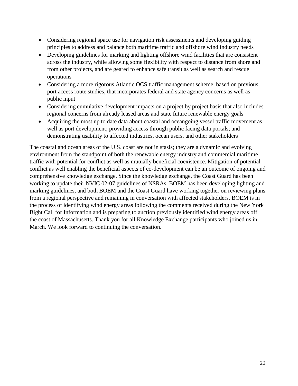- Considering regional space use for navigation risk assessments and developing guiding principles to address and balance both maritime traffic and offshore wind industry needs
- Developing guidelines for marking and lighting offshore wind facilities that are consistent across the industry, while allowing some flexibility with respect to distance from shore and from other projects, and are geared to enhance safe transit as well as search and rescue operations
- Considering a more rigorous Atlantic OCS traffic management scheme, based on previous port access route studies, that incorporates federal and state agency concerns as well as public input
- Considering cumulative development impacts on a project by project basis that also includes regional concerns from already leased areas and state future renewable energy goals
- Acquiring the most up to date data about coastal and oceangoing vessel traffic movement as well as port development; providing access through public facing data portals; and demonstrating usability to affected industries, ocean users, and other stakeholders

The coastal and ocean areas of the U.S. coast are not in stasis; they are a dynamic and evolving environment from the standpoint of both the renewable energy industry and commercial maritime traffic with potential for conflict as well as mutually beneficial coexistence. Mitigation of potential conflict as well enabling the beneficial aspects of co-development can be an outcome of ongoing and comprehensive knowledge exchange. Since the knowledge exchange, the Coast Guard has been working to update their NVIC 02-07 guidelines of NSRAs, BOEM has been developing lighting and marking guidelines, and both BOEM and the Coast Guard have working together on reviewing plans from a regional perspective and remaining in conversation with affected stakeholders. BOEM is in the process of identifying wind energy areas following the comments received during the New York Bight Call for Information and is preparing to auction previously identified wind energy areas off the coast of Massachusetts. Thank you for all Knowledge Exchange participants who joined us in March. We look forward to continuing the conversation.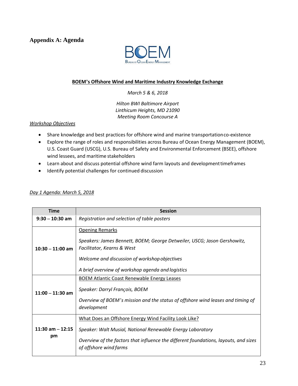<span id="page-22-0"></span>**Appendix A: Agenda**



#### **BOEM's Offshore Wind and Maritime Industry Knowledge Exchange**

*March 5 & 6, 2018*

*Hilton BWI Baltimore Airport Linthicum Heights, MD 21090 Meeting Room Concourse A*

#### *Workshop Objectives*

- Share knowledge and best practices for offshore wind and marine transportationco-existence
- Explore the range of roles and responsibilities across Bureau of Ocean Energy Management (BOEM), U.S. Coast Guard (USCG), U.S. Bureau of Safety and Environmental Enforcement (BSEE), offshore wind lessees, and maritime stakeholders
- Learn about and discuss potential offshore wind farm layouts and developmenttimeframes
- Identify potential challenges for continued discussion

#### *Day 1 Agenda: March 5, 2018*

| <b>Time</b>        | <b>Session</b>                                                                                                 |
|--------------------|----------------------------------------------------------------------------------------------------------------|
| $9:30 - 10:30$ am  | Registration and selection of table posters                                                                    |
|                    | <b>Opening Remarks</b>                                                                                         |
| $10:30 - 11:00$ am | Speakers: James Bennett, BOEM; George Detweiler, USCG; Jason Gershowitz,<br>Facilitator, Kearns & West         |
|                    | Welcome and discussion of workshop objectives                                                                  |
|                    | A brief overview of workshop agenda and logistics                                                              |
|                    | <b>BOEM Atlantic Coast Renewable Energy Leases</b>                                                             |
| $11:00 - 11:30$ am | Speaker: Darryl François, BOEM                                                                                 |
|                    | Overview of BOEM's mission and the status of offshore wind leases and timing of<br>development                 |
|                    |                                                                                                                |
|                    | What Does an Offshore Energy Wind Facility Look Like?                                                          |
| 11:30 am $-$ 12:15 | Speaker: Walt Musial, National Renewable Energy Laboratory                                                     |
| pm                 | Overview of the factors that influence the different foundations, layouts, and sizes<br>of offshore wind farms |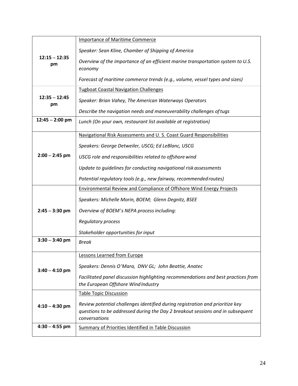| Speaker: Sean Kline, Chamber of Shipping of America<br>$12:15 - 12:35$<br>Overview of the importance of an efficient marine transportation system to U.S.<br>pm<br>economy<br>Forecast of maritime commerce trends (e.g., volume, vessel types and sizes)<br><b>Tugboat Coastal Navigation Challenges</b><br>$12:35 - 12:45$<br>Speaker: Brian Vahey, The American Waterways Operators<br>pm |
|----------------------------------------------------------------------------------------------------------------------------------------------------------------------------------------------------------------------------------------------------------------------------------------------------------------------------------------------------------------------------------------------|
|                                                                                                                                                                                                                                                                                                                                                                                              |
|                                                                                                                                                                                                                                                                                                                                                                                              |
|                                                                                                                                                                                                                                                                                                                                                                                              |
|                                                                                                                                                                                                                                                                                                                                                                                              |
|                                                                                                                                                                                                                                                                                                                                                                                              |
| Describe the navigation needs and maneuverability challenges of tugs                                                                                                                                                                                                                                                                                                                         |
| $12:45 - 2:00$ pm<br>Lunch (On your own, restaurant list available at registration)                                                                                                                                                                                                                                                                                                          |
| Navigational Risk Assessments and U.S. Coast Guard Responsibilities                                                                                                                                                                                                                                                                                                                          |
| Speakers: George Detweiler, USCG; Ed LeBlanc, USCG                                                                                                                                                                                                                                                                                                                                           |
| $2:00 - 2:45$ pm<br>USCG role and responsibilities related to offshore wind                                                                                                                                                                                                                                                                                                                  |
| Update to guidelines for conducting navigational risk assessments                                                                                                                                                                                                                                                                                                                            |
| Potential regulatory tools (e.g., new fairway, recommended routes)                                                                                                                                                                                                                                                                                                                           |
| <b>Environmental Review and Compliance of Offshore Wind Energy Projects</b>                                                                                                                                                                                                                                                                                                                  |
| Speakers: Michelle Morin, BOEM; Glenn Degnitz, BSEE                                                                                                                                                                                                                                                                                                                                          |
| $2:45 - 3:30$ pm<br>Overview of BOEM's NEPA process including:                                                                                                                                                                                                                                                                                                                               |
| <b>Regulatory process</b>                                                                                                                                                                                                                                                                                                                                                                    |
| Stakeholder opportunities for input                                                                                                                                                                                                                                                                                                                                                          |
| $3:30 - 3:40$ pm<br><b>Break</b>                                                                                                                                                                                                                                                                                                                                                             |
| Lessons Learned from Europe                                                                                                                                                                                                                                                                                                                                                                  |
| Speakers: Dennis O'Mara, DNV GL; John Beattie, Anatec<br>$3:40 - 4:10$ pm                                                                                                                                                                                                                                                                                                                    |
| Facilitated panel discussion highlighting recommendations and best practices from                                                                                                                                                                                                                                                                                                            |
| the European Offshore Wind Industry                                                                                                                                                                                                                                                                                                                                                          |
| <b>Table Topic Discussion</b>                                                                                                                                                                                                                                                                                                                                                                |
| Review potential challenges identified during registration and prioritize key<br>$4:10 - 4:30$ pm<br>questions to be addressed during the Day 2 breakout sessions and in subsequent<br>conversations                                                                                                                                                                                         |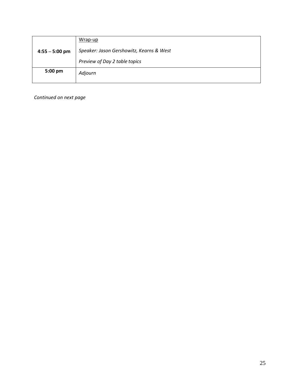|                  | Wrap-up                                  |
|------------------|------------------------------------------|
| $4:55 - 5:00$ pm | Speaker: Jason Gershowitz, Kearns & West |
|                  | Preview of Day 2 table topics            |
| 5:00 pm          | Adjourn                                  |
|                  |                                          |

*Continued on next page*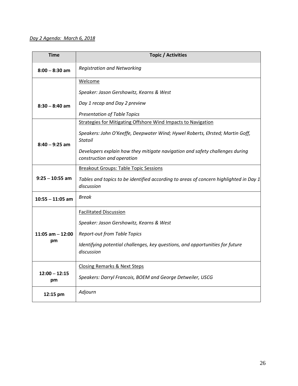## *Day 2 Agenda: March 6, 2018*

| <b>Time</b>           | <b>Topic / Activities</b>                                                                                  |
|-----------------------|------------------------------------------------------------------------------------------------------------|
| $8:00 - 8:30$ am      | <b>Registration and Networking</b>                                                                         |
|                       | Welcome                                                                                                    |
|                       | Speaker: Jason Gershowitz, Kearns & West                                                                   |
| $8:30 - 8:40$ am      | Day 1 recap and Day 2 preview                                                                              |
|                       | <b>Presentation of Table Topics</b>                                                                        |
|                       | <b>Strategies for Mitigating Offshore Wind Impacts to Navigation</b>                                       |
| $8:40 - 9:25$ am      | Speakers: John O'Keeffe, Deepwater Wind; Hywel Roberts, Ørsted; Martin Goff,<br><b>Statoil</b>             |
|                       | Developers explain how they mitigate navigation and safety challenges during<br>construction and operation |
|                       | <b>Breakout Groups: Table Topic Sessions</b>                                                               |
| $9:25 - 10:55$ am     | Tables and topics to be identified according to areas of concern highlighted in Day 1<br>discussion        |
| $10:55 - 11:05$ am    | Break                                                                                                      |
|                       | <b>Facilitated Discussion</b>                                                                              |
|                       | Speaker: Jason Gershowitz, Kearns & West                                                                   |
| 11:05 am $-$ 12:00    | Report-out from Table Topics                                                                               |
| pm                    | Identifying potential challenges, key questions, and opportunities for future<br>discussion                |
|                       | <b>Closing Remarks &amp; Next Steps</b>                                                                    |
| $12:00 - 12:15$<br>pm | Speakers: Darryl Francois, BOEM and George Detweiler, USCG                                                 |
| 12:15 pm              | Adjourn                                                                                                    |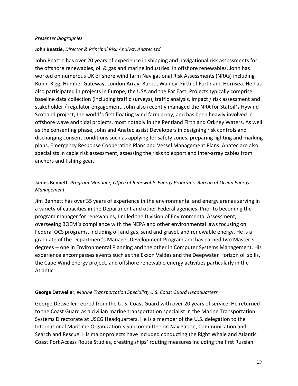#### *Presenter Biographies*

#### **John Beattie**, *Director & Principal Risk Analyst, Anatec Ltd*

John Beattie has over 20 years of experience in shipping and navigational risk assessments for the offshore renewables, oil & gas and marine industries. In offshore renewables, John has worked on numerous UK offshore wind farm Navigational Risk Assessments (NRAs) including Robin Rigg, Humber Gateway, London Array, Burbo, Walney, Firth of Forth and Hornsea. He has also participated in projects in Europe, the USA and the Far East. Projects typically comprise baseline data collection (including traffic surveys), traffic analysis, impact / risk assessment and stakeholder / regulator engagement. John also recently managed the NRA for Statoil's Hywind Scotland project, the world's first floating wind farm array, and has been heavily involved in offshore wave and tidal projects, most notably in the Pentland Firth and Orkney Waters. As well as the consenting phase, John and Anatec assist Developers in designing risk controls and discharging consent conditions such as applying for safety zones, preparing lighting and marking plans, Emergency Response Cooperation Plans and Vessel Management Plans. Anatec are also specialists in cable risk assessment, assessing the risks to export and inter-array cables from anchors and fishing gear.

## **James Bennett***, Program Manager, Office of Renewable Energy Programs, Bureau of Ocean Energy Management*

Jim Bennett has over 35 years of experience in the environmental and energy arenas serving in a variety of capacities in the Department and other Federal agencies. Prior to becoming the program manager for renewables, Jim led the Division of Environmental Assessment, overseeing BOEM's compliance with the NEPA and other environmental laws focusing on Federal OCS programs, including oil and gas, sand and gravel, and renewable energy. He is a graduate of the Department's Manager Development Program and has earned two Master's degrees -- one in Environmental Planning and the other in Computer Systems Management. His experience encompasses events such as the Exxon Valdez and the Deepwater Horizon oil spills, the Cape Wind energy project, and offshore renewable energy activities particularly in the Atlantic.

#### **George Detweiler***, Marine Transportation Specialist, U.S. Coast Guard Headquarters*

George Detweiler retired from the U. S. Coast Guard with over 20 years of service. He returned to the Coast Guard as a civilian marine transportation specialist in the Marine Transportation Systems Directorate at USCG Headquarters. He is a member of the U.S. delegation to the International Maritime Organization's Subcommittee on Navigation, Communication and Search and Rescue. His major projects have included conducting the Right Whale and Atlantic Coast Port Access Route Studies, creating ships' routing measures including the first Russian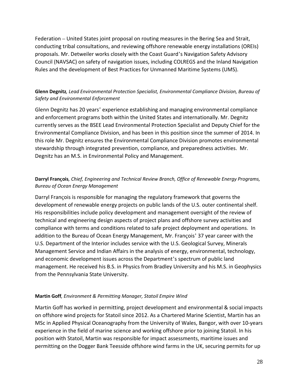Federation – United States joint proposal on routing measures in the Bering Sea and Strait, conducting tribal consultations, and reviewing offshore renewable energy installations (OREIs) proposals. Mr. Detweiler works closely with the Coast Guard's Navigation Safety Advisory Council (NAVSAC) on safety of navigation issues, including COLREGS and the Inland Navigation Rules and the development of Best Practices for Unmanned Maritime Systems (UMS).

## **Glenn Degnitz***, Lead Environmental Protection Specialist, Environmental Compliance Division, Bureau of Safety and Environmental Enforcement*

Glenn Degnitz has 20 years' experience establishing and managing environmental compliance and enforcement programs both within the United States and internationally. Mr. Degnitz currently serves as the BSEE Lead Environmental Protection Specialist and Deputy Chief for the Environmental Compliance Division, and has been in this position since the summer of 2014. In this role Mr. Degnitz ensures the Environmental Compliance Division promotes environmental stewardship through integrated prevention, compliance, and preparedness activities. Mr. Degnitz has an M.S. in Environmental Policy and Management.

## **Darryl François***, Chief, Engineering and Technical Review Branch, Office of Renewable Energy Programs, Bureau of Ocean Energy Management*

Darryl François is responsible for managing the regulatory framework that governs the development of renewable energy projects on public lands of the U.S. outer continental shelf. His responsibilities include policy development and management oversight of the review of technical and engineering design aspects of project plans and offshore survey activities and compliance with terms and conditions related to safe project deployment and operations. In addition to the Bureau of Ocean Energy Management, Mr. François' 37 year career with the U.S. Department of the Interior includes service with the U.S. Geological Survey, Minerals Management Service and Indian Affairs in the analysis of energy, environmental, technology, and economic development issues across the Department's spectrum of public land management. He received his B.S. in Physics from Bradley University and his M.S. in Geophysics from the Pennsylvania State University.

## **Martin Goff***, Environment & Permitting Manager, Statoil Empire Wind*

Martin Goff has worked in permitting, project development and environmental & social impacts on offshore wind projects for Statoil since 2012. As a Chartered Marine Scientist, Martin has an MSc in Applied Physical Oceanography from the University of Wales, Bangor, with over 10-years experience in the field of marine science and working offshore prior to joining Statoil. In his position with Statoil, Martin was responsible for impact assessments, maritime issues and permitting on the Dogger Bank Teesside offshore wind farms in the UK, securing permits for up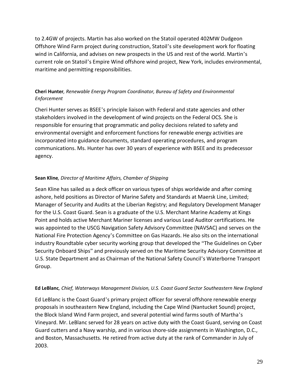to 2.4GW of projects. Martin has also worked on the Statoil operated 402MW Dudgeon Offshore Wind Farm project during construction, Statoil's site development work for floating wind in California, and advises on new prospects in the US and rest of the world. Martin's current role on Statoil's Empire Wind offshore wind project, New York, includes environmental, maritime and permitting responsibilities.

## **Cheri Hunter***, Renewable Energy Program Coordinator, Bureau of Safety and Environmental Enforcement*

Cheri Hunter serves as BSEE's principle liaison with Federal and state agencies and other stakeholders involved in the development of wind projects on the Federal OCS. She is responsible for ensuring that programmatic and policy decisions related to safety and environmental oversight and enforcement functions for renewable energy activities are incorporated into guidance documents, standard operating procedures, and program communications. Ms. Hunter has over 30 years of experience with BSEE and its predecessor agency.

## **Sean Kline***, Director of Maritime Affairs, Chamber of Shipping*

Sean Kline has sailed as a deck officer on various types of ships worldwide and after coming ashore, held positions as Director of Marine Safety and Standards at Maersk Line, Limited; Manager of Security and Audits at the Liberian Registry; and Regulatory Development Manager for the U.S. Coast Guard. Sean is a graduate of the U.S. Merchant Marine Academy at Kings Point and holds active Merchant Mariner licenses and various Lead Auditor certifications. He was appointed to the USCG Navigation Safety Advisory Committee (NAVSAC) and serves on the National Fire Protection Agency's Committee on Gas Hazards. He also sits on the international industry Roundtable cyber security working group that developed the "The Guidelines on Cyber Security Onboard Ships" and previously served on the Maritime Security Advisory Committee at U.S. State Department and as Chairman of the National Safety Council's Waterborne Transport Group.

## **Ed LeBlanc***, Chief, Waterways Management Division, U.S. Coast Guard Sector Southeastern New England*

Ed LeBlanc is the Coast Guard's primary project officer for several offshore renewable energy proposals in southeastern New England, including the Cape Wind (Nantucket Sound) project, the Block Island Wind Farm project, and several potential wind farms south of Martha's Vineyard. Mr. LeBlanc served for 28 years on active duty with the Coast Guard, serving on Coast Guard cutters and a Navy warship, and in various shore-side assignments in Washington, D.C., and Boston, Massachusetts. He retired from active duty at the rank of Commander in July of 2003.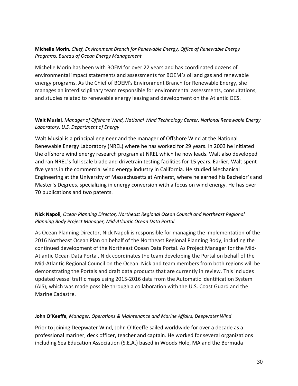## **Michelle Morin***, Chief, Environment Branch for Renewable Energy, Office of Renewable Energy Programs, Bureau of Ocean Energy Management*

Michelle Morin has been with BOEM for over 22 years and has coordinated dozens of environmental impact statements and assessments for BOEM's oil and gas and renewable energy programs. As the Chief of BOEM's Environment Branch for Renewable Energy, she manages an interdisciplinary team responsible for environmental assessments, consultations, and studies related to renewable energy leasing and development on the Atlantic OCS.

## **Walt Musial***, Manager of Offshore Wind, National Wind Technology Center, National Renewable Energy Laboratory, U.S. Department of Energy*

Walt Musial is a principal engineer and the manager of Offshore Wind at the National Renewable Energy Laboratory (NREL) where he has worked for 29 years. In 2003 he initiated the offshore wind energy research program at NREL which he now leads. Walt also developed and ran NREL's full scale blade and drivetrain testing facilities for 15 years. Earlier, Walt spent five years in the commercial wind energy industry in California. He studied Mechanical Engineering at the University of Massachusetts at Amherst, where he earned his Bachelor's and Master's Degrees, specializing in energy conversion with a focus on wind energy. He has over 70 publications and two patents.

## **Nick Napoli***, Ocean Planning Director, Northeast Regional Ocean Council and Northeast Regional Planning Body Project Manager, Mid-Atlantic Ocean Data Portal*

As Ocean Planning Director, Nick Napoli is responsible for managing the implementation of the 2016 Northeast Ocean Plan on behalf of the Northeast Regional Planning Body, including the continued development of the Northeast Ocean Data Portal. As Project Manager for the Mid-Atlantic Ocean Data Portal, Nick coordinates the team developing the Portal on behalf of the Mid-Atlantic Regional Council on the Ocean. Nick and team members from both regions will be demonstrating the Portals and draft data products that are currently in review. This includes updated vessel traffic maps using 2015-2016 data from the Automatic Identification System (AIS), which was made possible through a collaboration with the U.S. Coast Guard and the Marine Cadastre.

#### **John O'Keeffe***, Manager, Operations & Maintenance and Marine Affairs, Deepwater Wind*

Prior to joining Deepwater Wind, John O'Keeffe sailed worldwide for over a decade as a professional mariner, deck officer, teacher and captain. He worked for several organizations including Sea Education Association (S.E.A.) based in Woods Hole, MA and the Bermuda